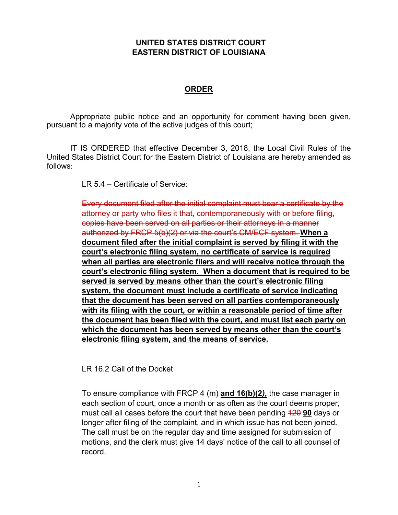## **UNITED STATES DISTRICT COURT EASTERN DISTRICT OF LOUISIANA**

## **ORDER**

Appropriate public notice and an opportunity for comment having been given, pursuant to a majority vote of the active judges of this court;

IT IS ORDERED that effective December 3, 2018, the Local Civil Rules of the United States District Court for the Eastern District of Louisiana are hereby amended as follows:

LR 5.4 – Certificate of Service:

Every document filed after the initial complaint must bear a certificate by the attorney or party who files it that, contemporaneously with or before filing, copies have been served on all parties or their attorneys in a manner authorized by FRCP 5(b)(2) or via the court's CM/ECF system. **When a document filed after the initial complaint is served by filing it with the court's electronic filing system, no certificate of service is required when all parties are electronic filers and will receive notice through the court's electronic filing system. When a document that is required to be served is served by means other than the court's electronic filing system, the document must include a certificate of service indicating that the document has been served on all parties contemporaneously with its filing with the court, or within a reasonable period of time after the document has been filed with the court, and must list each party on which the document has been served by means other than the court's electronic filing system, and the means of service.**

LR 16.2 Call of the Docket

To ensure compliance with FRCP 4 (m) **and 16(b)(2***)***,** the case manager in each section of court, once a month or as often as the court deems proper, must call all cases before the court that have been pending 120 **90** days or longer after filing of the complaint, and in which issue has not been joined. The call must be on the regular day and time assigned for submission of motions, and the clerk must give 14 days' notice of the call to all counsel of record.